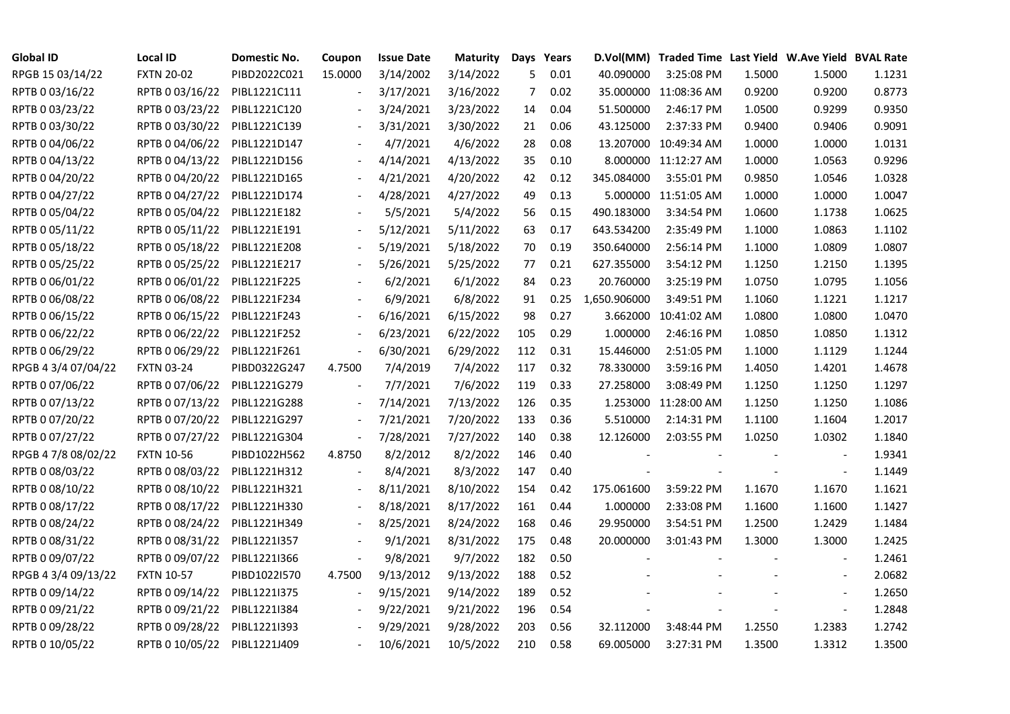| <b>Global ID</b>    | <b>Local ID</b>   | Domestic No. | Coupon  | <b>Issue Date</b> | <b>Maturity</b> |                | Days Years |              | D.Vol(MM) Traded Time Last Yield W.Ave Yield BVAL Rate |        |                          |        |
|---------------------|-------------------|--------------|---------|-------------------|-----------------|----------------|------------|--------------|--------------------------------------------------------|--------|--------------------------|--------|
| RPGB 15 03/14/22    | <b>FXTN 20-02</b> | PIBD2022C021 | 15.0000 | 3/14/2002         | 3/14/2022       | 5              | 0.01       | 40.090000    | 3:25:08 PM                                             | 1.5000 | 1.5000                   | 1.1231 |
| RPTB 0 03/16/22     | RPTB 0 03/16/22   | PIBL1221C111 |         | 3/17/2021         | 3/16/2022       | $\overline{7}$ | 0.02       |              | 35.000000 11:08:36 AM                                  | 0.9200 | 0.9200                   | 0.8773 |
| RPTB 0 03/23/22     | RPTB 0 03/23/22   | PIBL1221C120 |         | 3/24/2021         | 3/23/2022       | 14             | 0.04       | 51.500000    | 2:46:17 PM                                             | 1.0500 | 0.9299                   | 0.9350 |
| RPTB 0 03/30/22     | RPTB 0 03/30/22   | PIBL1221C139 |         | 3/31/2021         | 3/30/2022       | 21             | 0.06       | 43.125000    | 2:37:33 PM                                             | 0.9400 | 0.9406                   | 0.9091 |
| RPTB 0 04/06/22     | RPTB 0 04/06/22   | PIBL1221D147 |         | 4/7/2021          | 4/6/2022        | 28             | 0.08       |              | 13.207000 10:49:34 AM                                  | 1.0000 | 1.0000                   | 1.0131 |
| RPTB 0 04/13/22     | RPTB 0 04/13/22   | PIBL1221D156 |         | 4/14/2021         | 4/13/2022       | 35             | 0.10       |              | 8.000000 11:12:27 AM                                   | 1.0000 | 1.0563                   | 0.9296 |
| RPTB 0 04/20/22     | RPTB 0 04/20/22   | PIBL1221D165 |         | 4/21/2021         | 4/20/2022       | 42             | 0.12       | 345.084000   | 3:55:01 PM                                             | 0.9850 | 1.0546                   | 1.0328 |
| RPTB 0 04/27/22     | RPTB 0 04/27/22   | PIBL1221D174 |         | 4/28/2021         | 4/27/2022       | 49             | 0.13       |              | 5.000000 11:51:05 AM                                   | 1.0000 | 1.0000                   | 1.0047 |
| RPTB 0 05/04/22     | RPTB 0 05/04/22   | PIBL1221E182 |         | 5/5/2021          | 5/4/2022        | 56             | 0.15       | 490.183000   | 3:34:54 PM                                             | 1.0600 | 1.1738                   | 1.0625 |
| RPTB 0 05/11/22     | RPTB 0 05/11/22   | PIBL1221E191 |         | 5/12/2021         | 5/11/2022       | 63             | 0.17       | 643.534200   | 2:35:49 PM                                             | 1.1000 | 1.0863                   | 1.1102 |
| RPTB 0 05/18/22     | RPTB 0 05/18/22   | PIBL1221E208 |         | 5/19/2021         | 5/18/2022       | 70             | 0.19       | 350.640000   | 2:56:14 PM                                             | 1.1000 | 1.0809                   | 1.0807 |
| RPTB 0 05/25/22     | RPTB 0 05/25/22   | PIBL1221E217 |         | 5/26/2021         | 5/25/2022       | 77             | 0.21       | 627.355000   | 3:54:12 PM                                             | 1.1250 | 1.2150                   | 1.1395 |
| RPTB 0 06/01/22     | RPTB 0 06/01/22   | PIBL1221F225 |         | 6/2/2021          | 6/1/2022        | 84             | 0.23       | 20.760000    | 3:25:19 PM                                             | 1.0750 | 1.0795                   | 1.1056 |
| RPTB 0 06/08/22     | RPTB 0 06/08/22   | PIBL1221F234 |         | 6/9/2021          | 6/8/2022        | 91             | 0.25       | 1,650.906000 | 3:49:51 PM                                             | 1.1060 | 1.1221                   | 1.1217 |
| RPTB 0 06/15/22     | RPTB 0 06/15/22   | PIBL1221F243 |         | 6/16/2021         | 6/15/2022       | 98             | 0.27       |              | 3.662000 10:41:02 AM                                   | 1.0800 | 1.0800                   | 1.0470 |
| RPTB 0 06/22/22     | RPTB 0 06/22/22   | PIBL1221F252 |         | 6/23/2021         | 6/22/2022       | 105            | 0.29       | 1.000000     | 2:46:16 PM                                             | 1.0850 | 1.0850                   | 1.1312 |
| RPTB 0 06/29/22     | RPTB 0 06/29/22   | PIBL1221F261 |         | 6/30/2021         | 6/29/2022       | 112            | 0.31       | 15.446000    | 2:51:05 PM                                             | 1.1000 | 1.1129                   | 1.1244 |
| RPGB 4 3/4 07/04/22 | <b>FXTN 03-24</b> | PIBD0322G247 | 4.7500  | 7/4/2019          | 7/4/2022        | 117            | 0.32       | 78.330000    | 3:59:16 PM                                             | 1.4050 | 1.4201                   | 1.4678 |
| RPTB 0 07/06/22     | RPTB 0 07/06/22   | PIBL1221G279 |         | 7/7/2021          | 7/6/2022        | 119            | 0.33       | 27.258000    | 3:08:49 PM                                             | 1.1250 | 1.1250                   | 1.1297 |
| RPTB 0 07/13/22     | RPTB 0 07/13/22   | PIBL1221G288 |         | 7/14/2021         | 7/13/2022       | 126            | 0.35       |              | 1.253000 11:28:00 AM                                   | 1.1250 | 1.1250                   | 1.1086 |
| RPTB 0 07/20/22     | RPTB 0 07/20/22   | PIBL1221G297 |         | 7/21/2021         | 7/20/2022       | 133            | 0.36       | 5.510000     | 2:14:31 PM                                             | 1.1100 | 1.1604                   | 1.2017 |
| RPTB 0 07/27/22     | RPTB 0 07/27/22   | PIBL1221G304 |         | 7/28/2021         | 7/27/2022       | 140            | 0.38       | 12.126000    | 2:03:55 PM                                             | 1.0250 | 1.0302                   | 1.1840 |
| RPGB 4 7/8 08/02/22 | <b>FXTN 10-56</b> | PIBD1022H562 | 4.8750  | 8/2/2012          | 8/2/2022        | 146            | 0.40       |              |                                                        |        |                          | 1.9341 |
| RPTB 0 08/03/22     | RPTB 0 08/03/22   | PIBL1221H312 |         | 8/4/2021          | 8/3/2022        | 147            | 0.40       |              |                                                        |        | $\overline{\phantom{a}}$ | 1.1449 |
| RPTB 0 08/10/22     | RPTB 0 08/10/22   | PIBL1221H321 |         | 8/11/2021         | 8/10/2022       | 154            | 0.42       | 175.061600   | 3:59:22 PM                                             | 1.1670 | 1.1670                   | 1.1621 |
| RPTB 0 08/17/22     | RPTB 0 08/17/22   | PIBL1221H330 |         | 8/18/2021         | 8/17/2022       | 161            | 0.44       | 1.000000     | 2:33:08 PM                                             | 1.1600 | 1.1600                   | 1.1427 |
| RPTB 0 08/24/22     | RPTB 0 08/24/22   | PIBL1221H349 |         | 8/25/2021         | 8/24/2022       | 168            | 0.46       | 29.950000    | 3:54:51 PM                                             | 1.2500 | 1.2429                   | 1.1484 |
| RPTB 0 08/31/22     | RPTB 0 08/31/22   | PIBL1221I357 |         | 9/1/2021          | 8/31/2022       | 175            | 0.48       | 20.000000    | 3:01:43 PM                                             | 1.3000 | 1.3000                   | 1.2425 |
| RPTB 0 09/07/22     | RPTB 0 09/07/22   | PIBL1221I366 |         | 9/8/2021          | 9/7/2022        | 182            | 0.50       |              |                                                        |        |                          | 1.2461 |
| RPGB 4 3/4 09/13/22 | <b>FXTN 10-57</b> | PIBD1022I570 | 4.7500  | 9/13/2012         | 9/13/2022       | 188            | 0.52       |              |                                                        |        |                          | 2.0682 |
| RPTB 0 09/14/22     | RPTB 0 09/14/22   | PIBL1221I375 |         | 9/15/2021         | 9/14/2022       | 189            | 0.52       |              |                                                        |        | $\overline{\phantom{a}}$ | 1.2650 |
| RPTB 0 09/21/22     | RPTB 0 09/21/22   | PIBL1221I384 |         | 9/22/2021         | 9/21/2022       | 196            | 0.54       |              |                                                        |        | $\overline{\phantom{a}}$ | 1.2848 |
| RPTB 0 09/28/22     | RPTB 0 09/28/22   | PIBL1221I393 |         | 9/29/2021         | 9/28/2022       | 203            | 0.56       | 32.112000    | 3:48:44 PM                                             | 1.2550 | 1.2383                   | 1.2742 |
| RPTB 0 10/05/22     | RPTB 0 10/05/22   | PIBL1221J409 |         | 10/6/2021         | 10/5/2022       | 210            | 0.58       | 69.005000    | 3:27:31 PM                                             | 1.3500 | 1.3312                   | 1.3500 |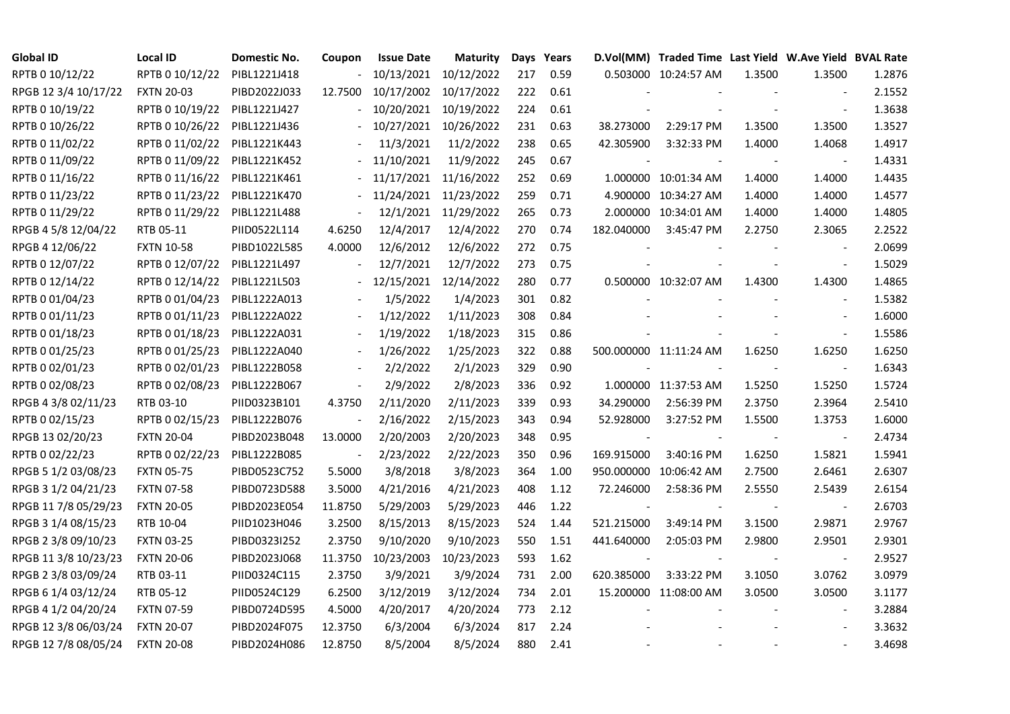| <b>Global ID</b>     | <b>Local ID</b>   | Domestic No. | Coupon                   | <b>Issue Date</b> | <b>Maturity</b> |     | Days Years |            | D.Vol(MM) Traded Time Last Yield W.Ave Yield BVAL Rate |        |                          |        |
|----------------------|-------------------|--------------|--------------------------|-------------------|-----------------|-----|------------|------------|--------------------------------------------------------|--------|--------------------------|--------|
| RPTB 0 10/12/22      | RPTB 0 10/12/22   | PIBL1221J418 |                          | 10/13/2021        | 10/12/2022      | 217 | 0.59       |            | 0.503000 10:24:57 AM                                   | 1.3500 | 1.3500                   | 1.2876 |
| RPGB 12 3/4 10/17/22 | <b>FXTN 20-03</b> | PIBD2022J033 | 12.7500                  | 10/17/2002        | 10/17/2022      | 222 | 0.61       |            |                                                        |        |                          | 2.1552 |
| RPTB 0 10/19/22      | RPTB 0 10/19/22   | PIBL1221J427 |                          | 10/20/2021        | 10/19/2022      | 224 | 0.61       |            |                                                        |        | $\blacksquare$           | 1.3638 |
| RPTB 0 10/26/22      | RPTB 0 10/26/22   | PIBL1221J436 |                          | 10/27/2021        | 10/26/2022      | 231 | 0.63       | 38.273000  | 2:29:17 PM                                             | 1.3500 | 1.3500                   | 1.3527 |
| RPTB 0 11/02/22      | RPTB 0 11/02/22   | PIBL1221K443 |                          | 11/3/2021         | 11/2/2022       | 238 | 0.65       | 42.305900  | 3:32:33 PM                                             | 1.4000 | 1.4068                   | 1.4917 |
| RPTB 0 11/09/22      | RPTB 0 11/09/22   | PIBL1221K452 |                          | 11/10/2021        | 11/9/2022       | 245 | 0.67       |            |                                                        |        | $\sim$                   | 1.4331 |
| RPTB 0 11/16/22      | RPTB 0 11/16/22   | PIBL1221K461 |                          | 11/17/2021        | 11/16/2022      | 252 | 0.69       |            | 1.000000 10:01:34 AM                                   | 1.4000 | 1.4000                   | 1.4435 |
| RPTB 0 11/23/22      | RPTB 0 11/23/22   | PIBL1221K470 |                          | 11/24/2021        | 11/23/2022      | 259 | 0.71       |            | 4.900000 10:34:27 AM                                   | 1.4000 | 1.4000                   | 1.4577 |
| RPTB 0 11/29/22      | RPTB 0 11/29/22   | PIBL1221L488 |                          | 12/1/2021         | 11/29/2022      | 265 | 0.73       |            | 2.000000 10:34:01 AM                                   | 1.4000 | 1.4000                   | 1.4805 |
| RPGB 4 5/8 12/04/22  | RTB 05-11         | PIID0522L114 | 4.6250                   | 12/4/2017         | 12/4/2022       | 270 | 0.74       | 182.040000 | 3:45:47 PM                                             | 2.2750 | 2.3065                   | 2.2522 |
| RPGB 4 12/06/22      | <b>FXTN 10-58</b> | PIBD1022L585 | 4.0000                   | 12/6/2012         | 12/6/2022       | 272 | 0.75       |            |                                                        |        | $\blacksquare$           | 2.0699 |
| RPTB 0 12/07/22      | RPTB 0 12/07/22   | PIBL1221L497 |                          | 12/7/2021         | 12/7/2022       | 273 | 0.75       |            |                                                        |        | $\blacksquare$           | 1.5029 |
| RPTB 0 12/14/22      | RPTB 0 12/14/22   | PIBL1221L503 |                          | 12/15/2021        | 12/14/2022      | 280 | 0.77       |            | 0.500000 10:32:07 AM                                   | 1.4300 | 1.4300                   | 1.4865 |
| RPTB 0 01/04/23      | RPTB 0 01/04/23   | PIBL1222A013 |                          | 1/5/2022          | 1/4/2023        | 301 | 0.82       |            |                                                        |        | $\overline{\phantom{a}}$ | 1.5382 |
| RPTB 0 01/11/23      | RPTB 0 01/11/23   | PIBL1222A022 |                          | 1/12/2022         | 1/11/2023       | 308 | 0.84       |            |                                                        |        | $\sim$                   | 1.6000 |
| RPTB 0 01/18/23      | RPTB 0 01/18/23   | PIBL1222A031 |                          | 1/19/2022         | 1/18/2023       | 315 | 0.86       |            |                                                        |        | $\overline{\phantom{a}}$ | 1.5586 |
| RPTB 0 01/25/23      | RPTB 0 01/25/23   | PIBL1222A040 |                          | 1/26/2022         | 1/25/2023       | 322 | 0.88       |            | 500.000000 11:11:24 AM                                 | 1.6250 | 1.6250                   | 1.6250 |
| RPTB 0 02/01/23      | RPTB 0 02/01/23   | PIBL1222B058 |                          | 2/2/2022          | 2/1/2023        | 329 | 0.90       |            |                                                        |        | $\blacksquare$           | 1.6343 |
| RPTB 0 02/08/23      | RPTB 0 02/08/23   | PIBL1222B067 | $\blacksquare$           | 2/9/2022          | 2/8/2023        | 336 | 0.92       |            | 1.000000 11:37:53 AM                                   | 1.5250 | 1.5250                   | 1.5724 |
| RPGB 4 3/8 02/11/23  | RTB 03-10         | PIID0323B101 | 4.3750                   | 2/11/2020         | 2/11/2023       | 339 | 0.93       | 34.290000  | 2:56:39 PM                                             | 2.3750 | 2.3964                   | 2.5410 |
| RPTB 0 02/15/23      | RPTB 0 02/15/23   | PIBL1222B076 | $\overline{\phantom{a}}$ | 2/16/2022         | 2/15/2023       | 343 | 0.94       | 52.928000  | 3:27:52 PM                                             | 1.5500 | 1.3753                   | 1.6000 |
| RPGB 13 02/20/23     | <b>FXTN 20-04</b> | PIBD2023B048 | 13.0000                  | 2/20/2003         | 2/20/2023       | 348 | 0.95       |            |                                                        |        | $\overline{\phantom{a}}$ | 2.4734 |
| RPTB 0 02/22/23      | RPTB 0 02/22/23   | PIBL1222B085 |                          | 2/23/2022         | 2/22/2023       | 350 | 0.96       | 169.915000 | 3:40:16 PM                                             | 1.6250 | 1.5821                   | 1.5941 |
| RPGB 5 1/2 03/08/23  | <b>FXTN 05-75</b> | PIBD0523C752 | 5.5000                   | 3/8/2018          | 3/8/2023        | 364 | 1.00       |            | 950.000000 10:06:42 AM                                 | 2.7500 | 2.6461                   | 2.6307 |
| RPGB 3 1/2 04/21/23  | <b>FXTN 07-58</b> | PIBD0723D588 | 3.5000                   | 4/21/2016         | 4/21/2023       | 408 | 1.12       | 72.246000  | 2:58:36 PM                                             | 2.5550 | 2.5439                   | 2.6154 |
| RPGB 11 7/8 05/29/23 | <b>FXTN 20-05</b> | PIBD2023E054 | 11.8750                  | 5/29/2003         | 5/29/2023       | 446 | 1.22       |            |                                                        |        | $\blacksquare$           | 2.6703 |
| RPGB 3 1/4 08/15/23  | RTB 10-04         | PIID1023H046 | 3.2500                   | 8/15/2013         | 8/15/2023       | 524 | 1.44       | 521.215000 | 3:49:14 PM                                             | 3.1500 | 2.9871                   | 2.9767 |
| RPGB 2 3/8 09/10/23  | <b>FXTN 03-25</b> | PIBD0323I252 | 2.3750                   | 9/10/2020         | 9/10/2023       | 550 | 1.51       | 441.640000 | 2:05:03 PM                                             | 2.9800 | 2.9501                   | 2.9301 |
| RPGB 11 3/8 10/23/23 | <b>FXTN 20-06</b> | PIBD2023J068 | 11.3750                  | 10/23/2003        | 10/23/2023      | 593 | 1.62       |            |                                                        |        | $\overline{\phantom{a}}$ | 2.9527 |
| RPGB 2 3/8 03/09/24  | RTB 03-11         | PIID0324C115 | 2.3750                   | 3/9/2021          | 3/9/2024        | 731 | 2.00       | 620.385000 | 3:33:22 PM                                             | 3.1050 | 3.0762                   | 3.0979 |
| RPGB 6 1/4 03/12/24  | RTB 05-12         | PIID0524C129 | 6.2500                   | 3/12/2019         | 3/12/2024       | 734 | 2.01       |            | 15.200000 11:08:00 AM                                  | 3.0500 | 3.0500                   | 3.1177 |
| RPGB 4 1/2 04/20/24  | <b>FXTN 07-59</b> | PIBD0724D595 | 4.5000                   | 4/20/2017         | 4/20/2024       | 773 | 2.12       |            |                                                        |        | $\overline{\phantom{a}}$ | 3.2884 |
| RPGB 12 3/8 06/03/24 | <b>FXTN 20-07</b> | PIBD2024F075 | 12.3750                  | 6/3/2004          | 6/3/2024        | 817 | 2.24       |            |                                                        |        |                          | 3.3632 |
| RPGB 12 7/8 08/05/24 | <b>FXTN 20-08</b> | PIBD2024H086 | 12.8750                  | 8/5/2004          | 8/5/2024        | 880 | 2.41       |            |                                                        |        |                          | 3.4698 |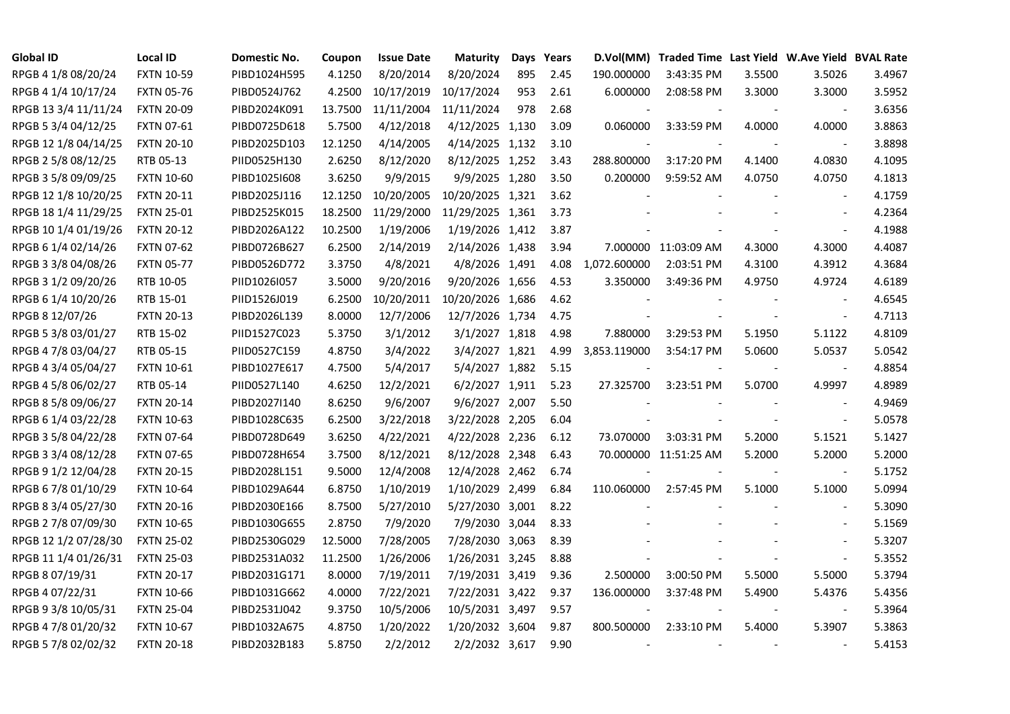| <b>Global ID</b>     | <b>Local ID</b>   | Domestic No. | Coupon  | <b>Issue Date</b> | <b>Maturity</b>  |     | Days Years |                          | D.Vol(MM) Traded Time Last Yield W.Ave Yield BVAL Rate |        |                          |        |
|----------------------|-------------------|--------------|---------|-------------------|------------------|-----|------------|--------------------------|--------------------------------------------------------|--------|--------------------------|--------|
| RPGB 4 1/8 08/20/24  | <b>FXTN 10-59</b> | PIBD1024H595 | 4.1250  | 8/20/2014         | 8/20/2024        | 895 | 2.45       | 190.000000               | 3:43:35 PM                                             | 3.5500 | 3.5026                   | 3.4967 |
| RPGB 4 1/4 10/17/24  | <b>FXTN 05-76</b> | PIBD0524J762 | 4.2500  | 10/17/2019        | 10/17/2024       | 953 | 2.61       | 6.000000                 | 2:08:58 PM                                             | 3.3000 | 3.3000                   | 3.5952 |
| RPGB 13 3/4 11/11/24 | <b>FXTN 20-09</b> | PIBD2024K091 | 13.7500 | 11/11/2004        | 11/11/2024       | 978 | 2.68       |                          |                                                        |        | $\sim$                   | 3.6356 |
| RPGB 5 3/4 04/12/25  | <b>FXTN 07-61</b> | PIBD0725D618 | 5.7500  | 4/12/2018         | 4/12/2025 1,130  |     | 3.09       | 0.060000                 | 3:33:59 PM                                             | 4.0000 | 4.0000                   | 3.8863 |
| RPGB 12 1/8 04/14/25 | <b>FXTN 20-10</b> | PIBD2025D103 | 12.1250 | 4/14/2005         | 4/14/2025 1,132  |     | 3.10       |                          |                                                        |        | $\blacksquare$           | 3.8898 |
| RPGB 2 5/8 08/12/25  | RTB 05-13         | PIID0525H130 | 2.6250  | 8/12/2020         | 8/12/2025 1,252  |     | 3.43       | 288.800000               | 3:17:20 PM                                             | 4.1400 | 4.0830                   | 4.1095 |
| RPGB 3 5/8 09/09/25  | <b>FXTN 10-60</b> | PIBD10251608 | 3.6250  | 9/9/2015          | 9/9/2025 1,280   |     | 3.50       | 0.200000                 | 9:59:52 AM                                             | 4.0750 | 4.0750                   | 4.1813 |
| RPGB 12 1/8 10/20/25 | <b>FXTN 20-11</b> | PIBD2025J116 | 12.1250 | 10/20/2005        | 10/20/2025 1,321 |     | 3.62       |                          |                                                        |        | $\sim$                   | 4.1759 |
| RPGB 18 1/4 11/29/25 | <b>FXTN 25-01</b> | PIBD2525K015 | 18.2500 | 11/29/2000        | 11/29/2025 1,361 |     | 3.73       |                          |                                                        |        |                          | 4.2364 |
| RPGB 10 1/4 01/19/26 | <b>FXTN 20-12</b> | PIBD2026A122 | 10.2500 | 1/19/2006         | 1/19/2026 1,412  |     | 3.87       |                          |                                                        |        | $\overline{\phantom{a}}$ | 4.1988 |
| RPGB 6 1/4 02/14/26  | <b>FXTN 07-62</b> | PIBD0726B627 | 6.2500  | 2/14/2019         | 2/14/2026 1,438  |     | 3.94       |                          | 7.000000 11:03:09 AM                                   | 4.3000 | 4.3000                   | 4.4087 |
| RPGB 3 3/8 04/08/26  | <b>FXTN 05-77</b> | PIBD0526D772 | 3.3750  | 4/8/2021          | 4/8/2026 1,491   |     | 4.08       | 1,072.600000             | 2:03:51 PM                                             | 4.3100 | 4.3912                   | 4.3684 |
| RPGB 3 1/2 09/20/26  | RTB 10-05         | PIID1026I057 | 3.5000  | 9/20/2016         | 9/20/2026 1,656  |     | 4.53       | 3.350000                 | 3:49:36 PM                                             | 4.9750 | 4.9724                   | 4.6189 |
| RPGB 6 1/4 10/20/26  | RTB 15-01         | PIID1526J019 | 6.2500  | 10/20/2011        | 10/20/2026 1,686 |     | 4.62       |                          |                                                        |        | $\overline{\phantom{a}}$ | 4.6545 |
| RPGB 8 12/07/26      | <b>FXTN 20-13</b> | PIBD2026L139 | 8.0000  | 12/7/2006         | 12/7/2026 1,734  |     | 4.75       |                          |                                                        |        | $\blacksquare$           | 4.7113 |
| RPGB 5 3/8 03/01/27  | RTB 15-02         | PIID1527C023 | 5.3750  | 3/1/2012          | 3/1/2027 1,818   |     | 4.98       | 7.880000                 | 3:29:53 PM                                             | 5.1950 | 5.1122                   | 4.8109 |
| RPGB 4 7/8 03/04/27  | RTB 05-15         | PIID0527C159 | 4.8750  | 3/4/2022          | 3/4/2027 1,821   |     | 4.99       | 3,853.119000             | 3:54:17 PM                                             | 5.0600 | 5.0537                   | 5.0542 |
| RPGB 4 3/4 05/04/27  | FXTN 10-61        | PIBD1027E617 | 4.7500  | 5/4/2017          | 5/4/2027 1,882   |     | 5.15       |                          |                                                        |        | $\overline{\phantom{a}}$ | 4.8854 |
| RPGB 4 5/8 06/02/27  | RTB 05-14         | PIID0527L140 | 4.6250  | 12/2/2021         | 6/2/2027 1,911   |     | 5.23       | 27.325700                | 3:23:51 PM                                             | 5.0700 | 4.9997                   | 4.8989 |
| RPGB 8 5/8 09/06/27  | <b>FXTN 20-14</b> | PIBD2027I140 | 8.6250  | 9/6/2007          | 9/6/2027 2,007   |     | 5.50       |                          |                                                        |        | $\overline{\phantom{a}}$ | 4.9469 |
| RPGB 6 1/4 03/22/28  | <b>FXTN 10-63</b> | PIBD1028C635 | 6.2500  | 3/22/2018         | 3/22/2028 2,205  |     | 6.04       |                          |                                                        |        | $\overline{a}$           | 5.0578 |
| RPGB 3 5/8 04/22/28  | <b>FXTN 07-64</b> | PIBD0728D649 | 3.6250  | 4/22/2021         | 4/22/2028 2,236  |     | 6.12       | 73.070000                | 3:03:31 PM                                             | 5.2000 | 5.1521                   | 5.1427 |
| RPGB 3 3/4 08/12/28  | <b>FXTN 07-65</b> | PIBD0728H654 | 3.7500  | 8/12/2021         | 8/12/2028 2,348  |     | 6.43       |                          | 70.000000 11:51:25 AM                                  | 5.2000 | 5.2000                   | 5.2000 |
| RPGB 9 1/2 12/04/28  | <b>FXTN 20-15</b> | PIBD2028L151 | 9.5000  | 12/4/2008         | 12/4/2028 2,462  |     | 6.74       |                          |                                                        |        | $\overline{\phantom{a}}$ | 5.1752 |
| RPGB 67/8 01/10/29   | <b>FXTN 10-64</b> | PIBD1029A644 | 6.8750  | 1/10/2019         | 1/10/2029 2,499  |     | 6.84       | 110.060000               | 2:57:45 PM                                             | 5.1000 | 5.1000                   | 5.0994 |
| RPGB 8 3/4 05/27/30  | <b>FXTN 20-16</b> | PIBD2030E166 | 8.7500  | 5/27/2010         | 5/27/2030 3,001  |     | 8.22       |                          |                                                        |        | $\overline{\phantom{a}}$ | 5.3090 |
| RPGB 2 7/8 07/09/30  | <b>FXTN 10-65</b> | PIBD1030G655 | 2.8750  | 7/9/2020          | 7/9/2030 3,044   |     | 8.33       |                          |                                                        |        | $\blacksquare$           | 5.1569 |
| RPGB 12 1/2 07/28/30 | <b>FXTN 25-02</b> | PIBD2530G029 | 12.5000 | 7/28/2005         | 7/28/2030 3,063  |     | 8.39       |                          |                                                        |        | $\sim$                   | 5.3207 |
| RPGB 11 1/4 01/26/31 | <b>FXTN 25-03</b> | PIBD2531A032 | 11.2500 | 1/26/2006         | 1/26/2031 3,245  |     | 8.88       |                          |                                                        |        | $\blacksquare$           | 5.3552 |
| RPGB 8 07/19/31      | <b>FXTN 20-17</b> | PIBD2031G171 | 8.0000  | 7/19/2011         | 7/19/2031 3,419  |     | 9.36       | 2.500000                 | 3:00:50 PM                                             | 5.5000 | 5.5000                   | 5.3794 |
| RPGB 4 07/22/31      | <b>FXTN 10-66</b> | PIBD1031G662 | 4.0000  | 7/22/2021         | 7/22/2031 3,422  |     | 9.37       | 136.000000               | 3:37:48 PM                                             | 5.4900 | 5.4376                   | 5.4356 |
| RPGB 9 3/8 10/05/31  | <b>FXTN 25-04</b> | PIBD2531J042 | 9.3750  | 10/5/2006         | 10/5/2031 3,497  |     | 9.57       |                          |                                                        |        | $\blacksquare$           | 5.3964 |
| RPGB 4 7/8 01/20/32  | <b>FXTN 10-67</b> | PIBD1032A675 | 4.8750  | 1/20/2022         | 1/20/2032 3,604  |     | 9.87       | 800.500000               | 2:33:10 PM                                             | 5.4000 | 5.3907                   | 5.3863 |
| RPGB 5 7/8 02/02/32  | <b>FXTN 20-18</b> | PIBD2032B183 | 5.8750  | 2/2/2012          | 2/2/2032 3,617   |     | 9.90       | $\overline{\phantom{a}}$ |                                                        |        | $\sim$                   | 5.4153 |